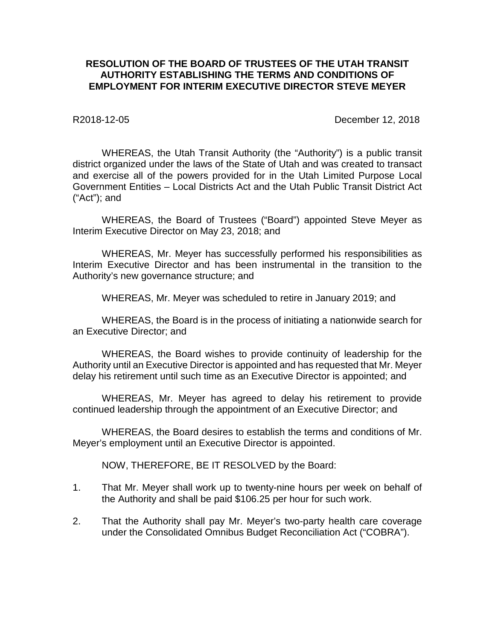## **RESOLUTION OF THE BOARD OF TRUSTEES OF THE UTAH TRANSIT AUTHORITY ESTABLISHING THE TERMS AND CONDITIONS OF EMPLOYMENT FOR INTERIM EXECUTIVE DIRECTOR STEVE MEYER**

R2018-12-05 December 12, 2018

WHEREAS, the Utah Transit Authority (the "Authority") is a public transit district organized under the laws of the State of Utah and was created to transact and exercise all of the powers provided for in the Utah Limited Purpose Local Government Entities – Local Districts Act and the Utah Public Transit District Act ("Act"); and

WHEREAS, the Board of Trustees ("Board") appointed Steve Meyer as Interim Executive Director on May 23, 2018; and

WHEREAS, Mr. Meyer has successfully performed his responsibilities as Interim Executive Director and has been instrumental in the transition to the Authority's new governance structure; and

WHEREAS, Mr. Meyer was scheduled to retire in January 2019; and

WHEREAS, the Board is in the process of initiating a nationwide search for an Executive Director; and

WHEREAS, the Board wishes to provide continuity of leadership for the Authority until an Executive Director is appointed and has requested that Mr. Meyer delay his retirement until such time as an Executive Director is appointed; and

WHEREAS, Mr. Meyer has agreed to delay his retirement to provide continued leadership through the appointment of an Executive Director; and

WHEREAS, the Board desires to establish the terms and conditions of Mr. Meyer's employment until an Executive Director is appointed.

NOW, THEREFORE, BE IT RESOLVED by the Board:

- 1. That Mr. Meyer shall work up to twenty-nine hours per week on behalf of the Authority and shall be paid \$106.25 per hour for such work.
- 2. That the Authority shall pay Mr. Meyer's two-party health care coverage under the Consolidated Omnibus Budget Reconciliation Act ("COBRA").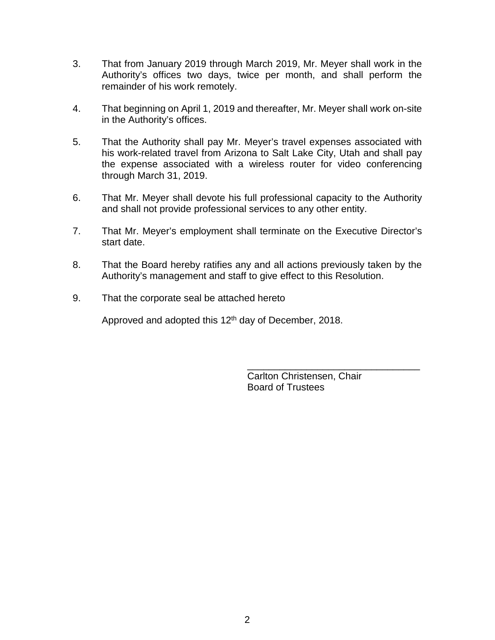- 3. That from January 2019 through March 2019, Mr. Meyer shall work in the Authority's offices two days, twice per month, and shall perform the remainder of his work remotely.
- 4. That beginning on April 1, 2019 and thereafter, Mr. Meyer shall work on-site in the Authority's offices.
- 5. That the Authority shall pay Mr. Meyer's travel expenses associated with his work-related travel from Arizona to Salt Lake City, Utah and shall pay the expense associated with a wireless router for video conferencing through March 31, 2019.
- 6. That Mr. Meyer shall devote his full professional capacity to the Authority and shall not provide professional services to any other entity.
- 7. That Mr. Meyer's employment shall terminate on the Executive Director's start date.
- 8. That the Board hereby ratifies any and all actions previously taken by the Authority's management and staff to give effect to this Resolution.
- 9. That the corporate seal be attached hereto

Approved and adopted this 12<sup>th</sup> day of December, 2018.

\_\_\_\_\_\_\_\_\_\_\_\_\_\_\_\_\_\_\_\_\_\_\_\_\_\_\_\_\_\_\_\_ Carlton Christensen, Chair Board of Trustees